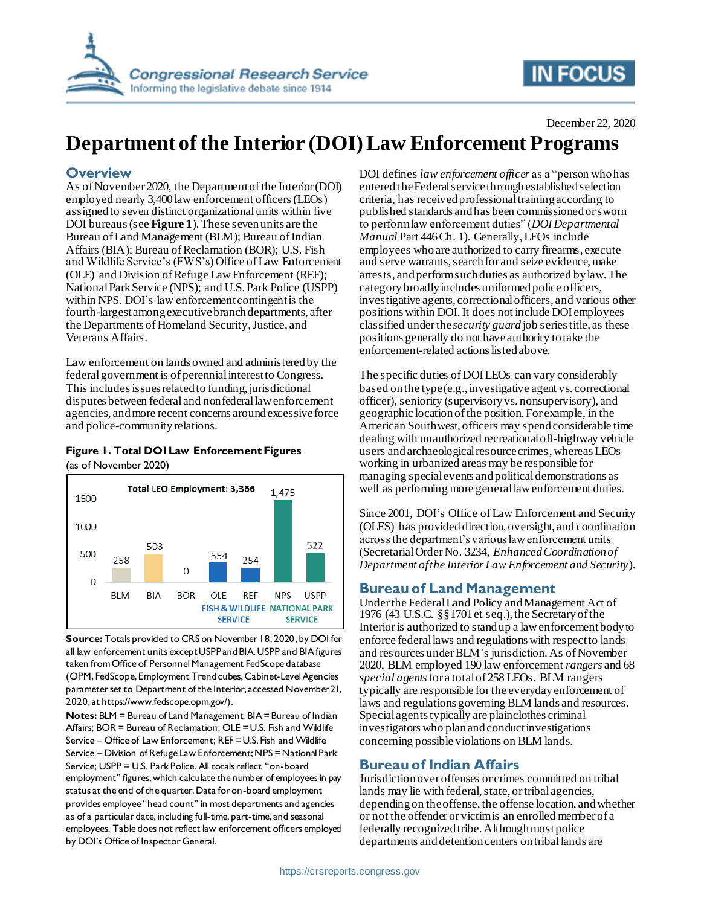

# **IN FOCUS**

# **Department of the Interior (DOI) Law Enforcement Programs**

# **Overview**

As of November 2020, the Department of the Interior (DOI) employed nearly 3,400law enforcement officers(LEOs) assigned to seven distinct organizational units within five DOI bureaus(see **[Figure 1](#page-0-0)**).These sevenunits are the Bureau of Land Management (BLM); Bureau of Indian Affairs (BIA); Bureau of Reclamation (BOR); U.S. Fish and Wildlife Service's (FWS's) Office of Law Enforcement (OLE) and Division of Refuge Law Enforcement (REF); National Park Service (NPS); and U.S. Park Police (USPP) within NPS. DOI's law enforcement contingent is the fourth-largest among executive branch departments, after the Departments of Homeland Security, Justice, and Veterans Affairs.

Law enforcement on lands owned and administered by the federal government is of perennial interest to Congress. This includes is sues related to funding, jurisdictional disputes between federal and nonfederal law enforcement agencies, andmore recent concerns around excessive force and police-community relations.

#### <span id="page-0-0"></span>**Figure 1. Total DOI Law Enforcement Figures** (as of November 2020)



**Source:** Totals provided to CRS on November 18, 2020, by DOI for all law enforcement units except USPP and BIA. USPP and BIA figures taken from Office of Personnel Management FedScope database (OPM, FedScope, Employment Trend cubes, Cabinet-Level Agencies parameter set to Department of the Interior, accessed November 21, 2020, at https://www.fedscope.opm.gov/).

**Notes:** BLM = Bureau of Land Management; BIA = Bureau of Indian Affairs; BOR = Bureau of Reclamation; OLE = U.S. Fish and Wildlife Service – Office of Law Enforcement; REF = U.S. Fish and Wildlife Service – Division of Refuge Law Enforcement; NPS = National Park Service; USPP = U.S. Park Police. All totals reflect "on-board employment" figures, which calculate the number of employees in pay status at the end of the quarter. Data for on-board employment provides employee "head count" in most departments and agencies as of a particular date, including full-time, part-time, and seasonal employees. Table does not reflect law enforcement officers employed by DOI's Office of Inspector General.

DOI defines *law enforcement officer* as a "person who has entered the Federal service through established selection criteria, has received professional training according to published standards and has been commissioned or sworn to perform law enforcement duties" (*DOI Departmental Manual* Part 446 Ch. 1). Generally, LEOs include employees whoare authorized to carry firearms, execute and serve warrants, search for and seize evidence, make arrests, and perform such duties as authorized by law. The category broadly includes uniformed police officers, investigative agents, correctional officers, and various other positions within DOI. It does not include DOI employees classified under the *security guard* job series title, as these positions generally do not have authority to take the enforcement-related actions listed above.

The specific duties of DOILEOs can vary considerably based on the type (e.g., investigative agent vs. correctional officer), seniority (supervisory vs. nonsupervisory), and geographic location of the position. For example, in the American Southwest, officers may spend considerable time dealing with unauthorized recreational off-highway vehicle users andarchaeological resource crimes, whereas LEOs working in urbanized areas may be responsible for managing special events and political demonstrations as well as performing more general law enforcement duties.

Since 2001, DOI's Office of Law Enforcement and Security (OLES) has provided direction, oversight, and coordination across the department's various law enforcement units (Secretarial Order No. 3234, *Enhanced Coordination of Department of the Interior Law Enforcement and Security*).

# **Bureau of Land Management**

Under the Federal Land Policy and Management Act of 1976 (43 U.S.C. §§1701 et seq.), the Secretary of the Interior is authorized to stand up a law enforcement body to enforce federal laws and regulations with respect to lands and resources under BLM's jurisdiction.As of November 2020, BLM employed 190 law enforcement *rangers* and 68 *special agents*for a total of 258 LEOs. BLM rangers typically are responsible for the everyday enforcement of laws and regulations governing BLM lands and resources. Special agents typically are plainclothes criminal investigators who plan and conduct investigations concerning possible violations on BLM lands.

# **Bureau of Indian Affairs**

Jurisdiction over offenses or crimes committed on tribal lands may lie with federal, state, or tribal agencies, depending on the offense, the offense location, and whether or not the offender or victim is an enrolled member of a federally recognized tribe. Although most police departments and detention centers on tribal lands are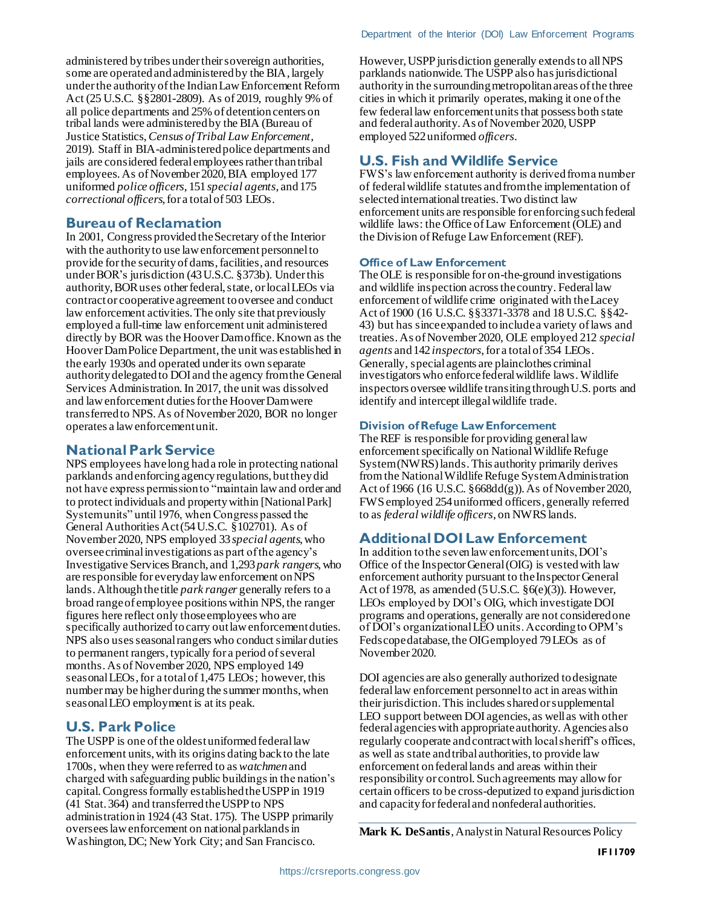administered by tribes under their sovereign authorities, some are operated and administered by the BIA, largely under the authority of the Indian Law Enforcement Reform Act (25 U.S.C. §§2801-2809). As of 2019, roughly 9% of all police departments and 25% of detention centers on tribal lands were administered by the BIA (Bureau of Justice Statistics, *Census of Tribal Law Enforcement*, 2019). Staff in BIA-administered police departments and jails are considered federal employees rather than tribal employees. As of November 2020, BIA employed 177 uniformed *police officers*, 151 *special agents*, and 175 *correctional officers*, for a total of 503 LEOs.

#### **Bureau of Reclamation**

In 2001, Congress provided the Secretary of the Interior with the authority to use law enforcement personnel to provide for the security of dams, facilities, and resources under BOR's jurisdiction (43 U.S.C. §373b). Under this authority, BOR uses other federal, state, or local LEOs via contract or cooperative agreement to oversee and conduct law enforcement activities. The only site that previously employed a full-time law enforcement unit administered directly by BOR was the Hoover Dam office. Known as the Hoover Dam Police Department, the unit was established in the early 1930s and operated under its own separate authority delegated to DOI and the agency from the General Services Administration.In 2017, the unit was dissolved and law enforcement duties for the Hoover Dam were transferred to NPS. As of November 2020, BOR no longer operates a law enforcement unit.

#### **National Park Service**

NPS employees have long had a role in protecting national parklands and enforcing agencyregulations, but they did not have express permission to "maintain law and order and to protect individuals and property within [National Park] System units" until 1976, when Congress passed the General Authorities Act (54 U.S.C. §102701). As of November 2020, NPS employed 33 *special agents*, who oversee criminal investigations as part of the agency's Investigative Services Branch, and 1,293 *park rangers*, who are responsible for everyday law enforcement on NPS lands. Although the title *park ranger* generally refers to a broad range of employee positions within NPS, the ranger figures here reflect only those employees who are specifically authorized to carry out law enforcement duties. NPS also uses seasonal rangers who conduct similar duties to permanent rangers, typically for a period of several months. As of November 2020, NPS employed 149 seasonal LEOs, for a total of 1,475 LEOs; however, this number may be higher during the summer months, when seasonal LEO employment is at its peak.

# **U.S. Park Police**

The USPP is one of the oldest uniformed federal law enforcement units,with its origins dating back to the late 1700s, when they were referred to as *watchmen*and charged with safeguarding public buildings in the nation's capital. Congress formally established the USPP in 1919 (41 Stat. 364) and transferred the USPP to NPS administration in 1924 (43 Stat. 175). The USPP primarily oversees law enforcement on national parklands in Washington, DC; New York City; and San Francisco.

However, USPP jurisdiction generally extends to all NPS parklands nationwide. The USPP also has jurisdictional authority in the surrounding metropolitan areas of the three cities in which it primarily operates, making it one of the few federal law enforcement units that possess both state and federal authority. As of November 2020, USPP employed 522 uniformed *officers*.

# **U.S. Fish and Wildlife Service**

FWS's law enforcement authority is derived from a number of federal wildlife statutes and from the implementation of selected international treaties. Two distinct law enforcement units are responsible for enforcing such federal wildlife laws: the Office of Law Enforcement (OLE) and the Division of Refuge Law Enforcement (REF).

#### **Office of Law Enforcement**

The OLE is responsible for on-the-ground investigations and wildlife inspection across the country. Federal law enforcement of wildlife crime originated with the Lacey Act of 1900 (16 U.S.C. §§3371-3378 and 18 U.S.C. §§42- 43) but has since expanded to include a variety of laws and treaties. As of November 2020, OLE employed 212 *special agents* and 142 *inspectors*, for a total of 354 LEOs. Generally, special agents are plainclothes criminal investigators who enforce federal wildlife laws. Wildlife inspectors oversee wildlife transiting through U.S. ports and identify and intercept illegal wildlife trade.

#### **Division of Refuge Law Enforcement**

The REF is responsible for providing general law enforcement specifically on National Wildlife Refuge System(NWRS)lands.This authority primarily derives from the National Wildlife Refuge System Administration Act of 1966 (16 U.S.C. §668dd(g)).As of November 2020, FWS employed 254 uniformed officers, generally referred to as *federal wildlife officers*, on NWRS lands.

# **Additional DOI Law Enforcement**

In addition to the seven law enforcement units, DOI's Office of the Inspector General (OIG) is vested with law enforcement authority pursuant to the Inspector General Act of 1978, as amended (5 U.S.C. §6(e)(3)). However, LEOs employed by DOI's OIG, which investigate DOI programs and operations, generally are not considered one of DOI's organizational LEO units. According to OPM's Fedscope database, the OIG employed 79 LEOs as of November 2020.

DOI agencies are also generally authorized to designate federal law enforcement personnel to act in areas within their jurisdiction. This includes sharedor supplemental LEO support between DOI agencies, as well as with other federal agencies with appropriate authority. Agencies also regularly cooperate and contract with local sheriff's offices, as well as state and tribal authorities, to provide law enforcement on federal lands and areas within their responsibility or control. Such agreements may allow for certain officers to be cross-deputized to expand jurisdiction and capacity for federal and nonfederal authorities.

**Mark K. DeSantis**, Analyst in Natural Resources Policy